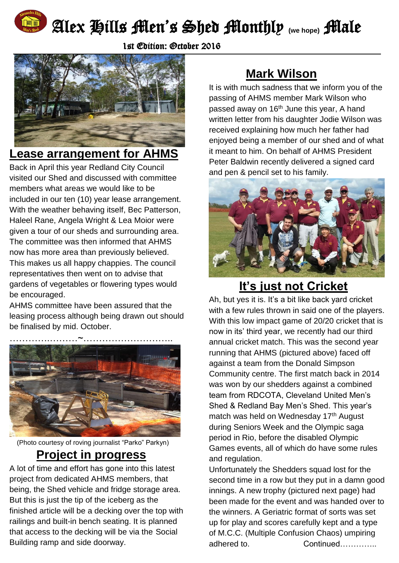

# Alex Hills Men's Shed Monthly **(we hope)** Male

1st Edition: October 2016



## **Lease arrangement for AHMS**

Back in April this year Redland City Council visited our Shed and discussed with committee members what areas we would like to be included in our ten (10) year lease arrangement. With the weather behaving itself, Bec Patterson, Haleel Rane, Angela Wright & Lea Moior were given a tour of our sheds and surrounding area. The committee was then informed that AHMS now has more area than previously believed. This makes us all happy chappies. The council representatives then went on to advise that gardens of vegetables or flowering types would be encouraged.

AHMS committee have been assured that the leasing process although being drawn out should be finalised by mid. October.



#### (Photo courtesy of roving journalist "Parko" Parkyn)

#### **Project in progress**

A lot of time and effort has gone into this latest project from dedicated AHMS members, that being, the Shed vehicle and fridge storage area. But this is just the tip of the iceberg as the finished article will be a decking over the top with railings and built-in bench seating. It is planned that access to the decking will be via the Social Building ramp and side doorway.

# **Mark Wilson**

It is with much sadness that we inform you of the passing of AHMS member Mark Wilson who passed away on 16<sup>th</sup> June this year, A hand written letter from his daughter Jodie Wilson was received explaining how much her father had enjoyed being a member of our shed and of what it meant to him. On behalf of AHMS President Peter Baldwin recently delivered a signed card and pen & pencil set to his family.



### **It's just not Cricket**

Ah, but yes it is. It's a bit like back yard cricket with a few rules thrown in said one of the players. With this low impact game of 20/20 cricket that is now in its' third year, we recently had our third annual cricket match. This was the second year running that AHMS (pictured above) faced off against a team from the Donald Simpson Community centre. The first match back in 2014 was won by our shedders against a combined team from RDCOTA, Cleveland United Men's Shed & Redland Bay Men's Shed. This year's match was held on Wednesday 17<sup>th</sup> August during Seniors Week and the Olympic saga period in Rio, before the disabled Olympic Games events, all of which do have some rules and regulation.

Unfortunately the Shedders squad lost for the second time in a row but they put in a damn good innings. A new trophy (pictured next page) had been made for the event and was handed over to the winners. A Geriatric format of sorts was set up for play and scores carefully kept and a type of M.C.C. (Multiple Confusion Chaos) umpiring adhered to. Continued…………..